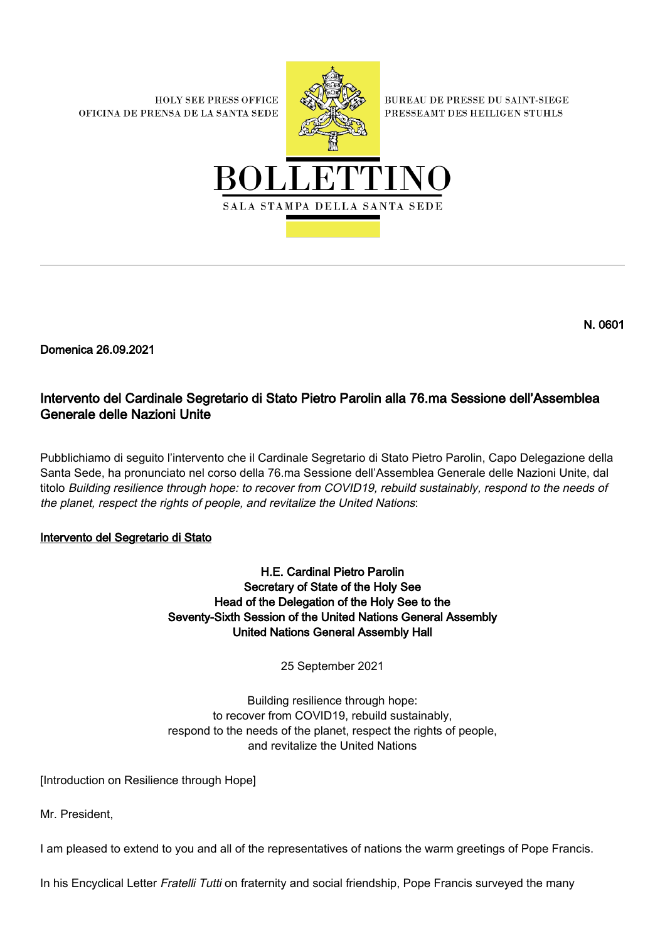**HOLY SEE PRESS OFFICE** OFICINA DE PRENSA DE LA SANTA SEDE



**BUREAU DE PRESSE DU SAINT-SIEGE** PRESSEAMT DES HEILIGEN STUHLS



N. 0601

Domenica 26.09.2021

# Intervento del Cardinale Segretario di Stato Pietro Parolin alla 76.ma Sessione dell'Assemblea Generale delle Nazioni Unite

Pubblichiamo di seguito l'intervento che il Cardinale Segretario di Stato Pietro Parolin, Capo Delegazione della Santa Sede, ha pronunciato nel corso della 76.ma Sessione dell'Assemblea Generale delle Nazioni Unite, dal titolo Building resilience through hope: to recover from COVID19, rebuild sustainably, respond to the needs of the planet, respect the rights of people, and revitalize the United Nations:

## Intervento del Segretario di Stato

H.E. Cardinal Pietro Parolin Secretary of State of the Holy See Head of the Delegation of the Holy See to the Seventy-Sixth Session of the United Nations General Assembly United Nations General Assembly Hall

25 September 2021

Building resilience through hope: to recover from COVID19, rebuild sustainably, respond to the needs of the planet, respect the rights of people, and revitalize the United Nations

[Introduction on Resilience through Hope]

Mr. President,

I am pleased to extend to you and all of the representatives of nations the warm greetings of Pope Francis.

In his Encyclical Letter Fratelli Tutti on fraternity and social friendship, Pope Francis surveyed the many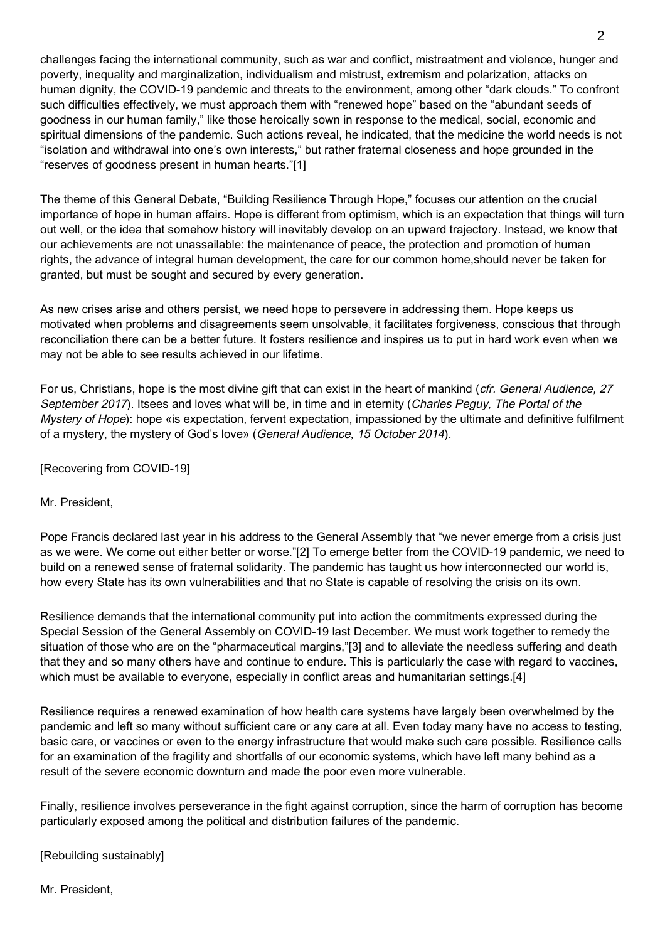challenges facing the international community, such as war and conflict, mistreatment and violence, hunger and poverty, inequality and marginalization, individualism and mistrust, extremism and polarization, attacks on human dignity, the COVID-19 pandemic and threats to the environment, among other "dark clouds." To confront such difficulties effectively, we must approach them with "renewed hope" based on the "abundant seeds of goodness in our human family," like those heroically sown in response to the medical, social, economic and spiritual dimensions of the pandemic. Such actions reveal, he indicated, that the medicine the world needs is not "isolation and withdrawal into one's own interests," but rather fraternal closeness and hope grounded in the "reserves of goodness present in human hearts."[1]

The theme of this General Debate, "Building Resilience Through Hope," focuses our attention on the crucial importance of hope in human affairs. Hope is different from optimism, which is an expectation that things will turn out well, or the idea that somehow history will inevitably develop on an upward trajectory. Instead, we know that our achievements are not unassailable: the maintenance of peace, the protection and promotion of human rights, the advance of integral human development, the care for our common home,should never be taken for granted, but must be sought and secured by every generation.

As new crises arise and others persist, we need hope to persevere in addressing them. Hope keeps us motivated when problems and disagreements seem unsolvable, it facilitates forgiveness, conscious that through reconciliation there can be a better future. It fosters resilience and inspires us to put in hard work even when we may not be able to see results achieved in our lifetime.

For us, Christians, hope is the most divine gift that can exist in the heart of mankind (cfr. General Audience, 27 September 2017). Itsees and loves what will be, in time and in eternity (Charles Peguy, The Portal of the Mystery of Hope): hope «is expectation, fervent expectation, impassioned by the ultimate and definitive fulfilment of a mystery, the mystery of God's love» (General Audience, 15 October 2014).

[Recovering from COVID-19]

Mr. President,

Pope Francis declared last year in his address to the General Assembly that "we never emerge from a crisis just as we were. We come out either better or worse."[2] To emerge better from the COVID-19 pandemic, we need to build on a renewed sense of fraternal solidarity. The pandemic has taught us how interconnected our world is, how every State has its own vulnerabilities and that no State is capable of resolving the crisis on its own.

Resilience demands that the international community put into action the commitments expressed during the Special Session of the General Assembly on COVID-19 last December. We must work together to remedy the situation of those who are on the "pharmaceutical margins,"[3] and to alleviate the needless suffering and death that they and so many others have and continue to endure. This is particularly the case with regard to vaccines, which must be available to everyone, especially in conflict areas and humanitarian settings.[4]

Resilience requires a renewed examination of how health care systems have largely been overwhelmed by the pandemic and left so many without sufficient care or any care at all. Even today many have no access to testing, basic care, or vaccines or even to the energy infrastructure that would make such care possible. Resilience calls for an examination of the fragility and shortfalls of our economic systems, which have left many behind as a result of the severe economic downturn and made the poor even more vulnerable.

Finally, resilience involves perseverance in the fight against corruption, since the harm of corruption has become particularly exposed among the political and distribution failures of the pandemic.

[Rebuilding sustainably]

Mr. President,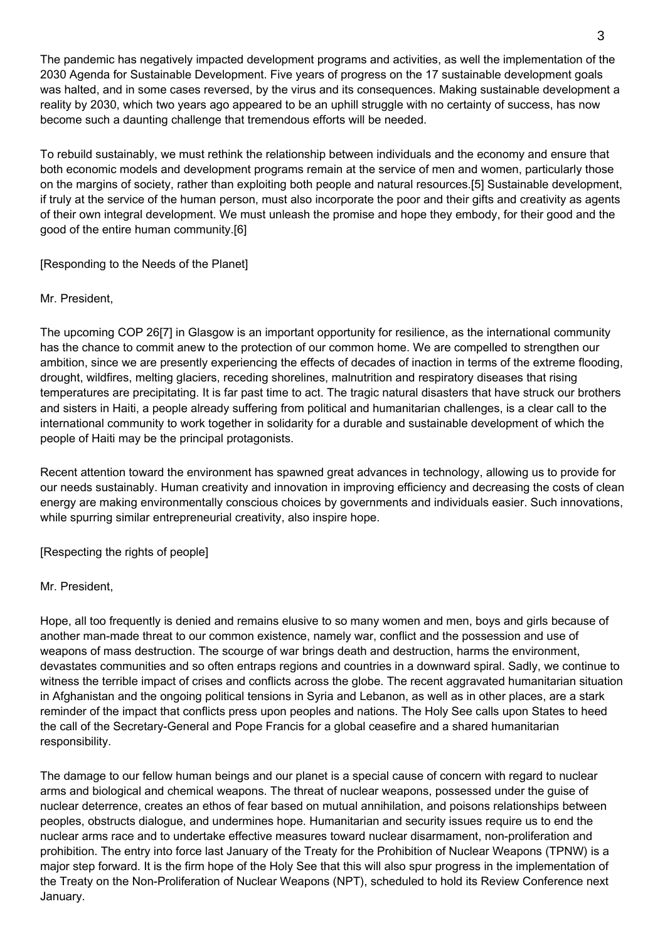The pandemic has negatively impacted development programs and activities, as well the implementation of the 2030 Agenda for Sustainable Development. Five years of progress on the 17 sustainable development goals was halted, and in some cases reversed, by the virus and its consequences. Making sustainable development a reality by 2030, which two years ago appeared to be an uphill struggle with no certainty of success, has now become such a daunting challenge that tremendous efforts will be needed.

To rebuild sustainably, we must rethink the relationship between individuals and the economy and ensure that both economic models and development programs remain at the service of men and women, particularly those on the margins of society, rather than exploiting both people and natural resources.[5] Sustainable development, if truly at the service of the human person, must also incorporate the poor and their gifts and creativity as agents of their own integral development. We must unleash the promise and hope they embody, for their good and the good of the entire human community.[6]

[Responding to the Needs of the Planet]

## Mr. President,

The upcoming COP 26[7] in Glasgow is an important opportunity for resilience, as the international community has the chance to commit anew to the protection of our common home. We are compelled to strengthen our ambition, since we are presently experiencing the effects of decades of inaction in terms of the extreme flooding, drought, wildfires, melting glaciers, receding shorelines, malnutrition and respiratory diseases that rising temperatures are precipitating. It is far past time to act. The tragic natural disasters that have struck our brothers and sisters in Haiti, a people already suffering from political and humanitarian challenges, is a clear call to the international community to work together in solidarity for a durable and sustainable development of which the people of Haiti may be the principal protagonists.

Recent attention toward the environment has spawned great advances in technology, allowing us to provide for our needs sustainably. Human creativity and innovation in improving efficiency and decreasing the costs of clean energy are making environmentally conscious choices by governments and individuals easier. Such innovations, while spurring similar entrepreneurial creativity, also inspire hope.

[Respecting the rights of people]

### Mr. President,

Hope, all too frequently is denied and remains elusive to so many women and men, boys and girls because of another man-made threat to our common existence, namely war, conflict and the possession and use of weapons of mass destruction. The scourge of war brings death and destruction, harms the environment, devastates communities and so often entraps regions and countries in a downward spiral. Sadly, we continue to witness the terrible impact of crises and conflicts across the globe. The recent aggravated humanitarian situation in Afghanistan and the ongoing political tensions in Syria and Lebanon, as well as in other places, are a stark reminder of the impact that conflicts press upon peoples and nations. The Holy See calls upon States to heed the call of the Secretary-General and Pope Francis for a global ceasefire and a shared humanitarian responsibility.

The damage to our fellow human beings and our planet is a special cause of concern with regard to nuclear arms and biological and chemical weapons. The threat of nuclear weapons, possessed under the guise of nuclear deterrence, creates an ethos of fear based on mutual annihilation, and poisons relationships between peoples, obstructs dialogue, and undermines hope. Humanitarian and security issues require us to end the nuclear arms race and to undertake effective measures toward nuclear disarmament, non-proliferation and prohibition. The entry into force last January of the Treaty for the Prohibition of Nuclear Weapons (TPNW) is a major step forward. It is the firm hope of the Holy See that this will also spur progress in the implementation of the Treaty on the Non-Proliferation of Nuclear Weapons (NPT), scheduled to hold its Review Conference next January.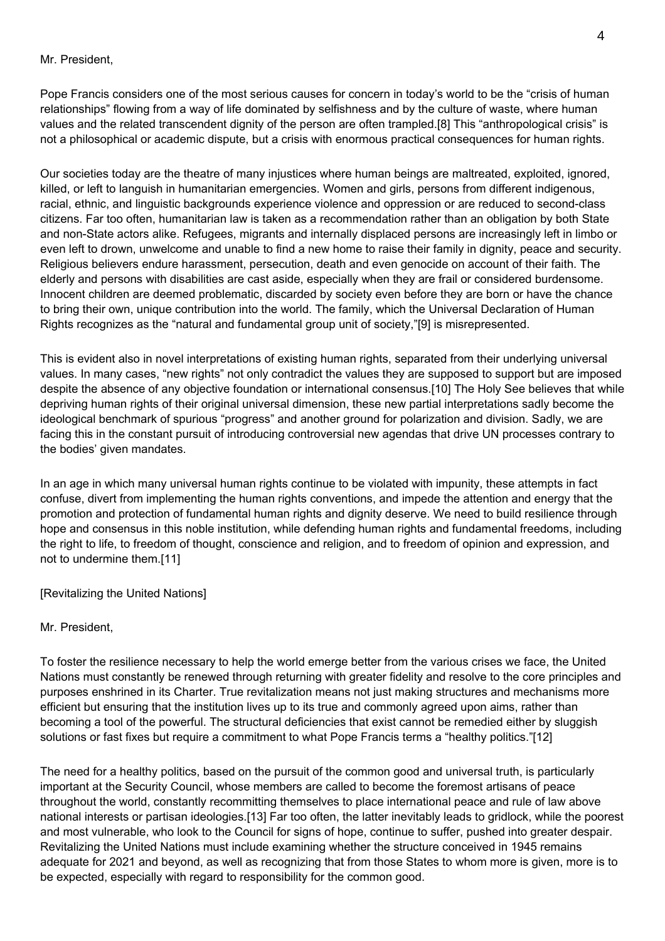#### Mr. President,

Pope Francis considers one of the most serious causes for concern in today's world to be the "crisis of human relationships" flowing from a way of life dominated by selfishness and by the culture of waste, where human values and the related transcendent dignity of the person are often trampled.[8] This "anthropological crisis" is not a philosophical or academic dispute, but a crisis with enormous practical consequences for human rights.

Our societies today are the theatre of many injustices where human beings are maltreated, exploited, ignored, killed, or left to languish in humanitarian emergencies. Women and girls, persons from different indigenous, racial, ethnic, and linguistic backgrounds experience violence and oppression or are reduced to second-class citizens. Far too often, humanitarian law is taken as a recommendation rather than an obligation by both State and non-State actors alike. Refugees, migrants and internally displaced persons are increasingly left in limbo or even left to drown, unwelcome and unable to find a new home to raise their family in dignity, peace and security. Religious believers endure harassment, persecution, death and even genocide on account of their faith. The elderly and persons with disabilities are cast aside, especially when they are frail or considered burdensome. Innocent children are deemed problematic, discarded by society even before they are born or have the chance to bring their own, unique contribution into the world. The family, which the Universal Declaration of Human Rights recognizes as the "natural and fundamental group unit of society,"[9] is misrepresented.

This is evident also in novel interpretations of existing human rights, separated from their underlying universal values. In many cases, "new rights" not only contradict the values they are supposed to support but are imposed despite the absence of any objective foundation or international consensus.[10] The Holy See believes that while depriving human rights of their original universal dimension, these new partial interpretations sadly become the ideological benchmark of spurious "progress" and another ground for polarization and division. Sadly, we are facing this in the constant pursuit of introducing controversial new agendas that drive UN processes contrary to the bodies' given mandates.

In an age in which many universal human rights continue to be violated with impunity, these attempts in fact confuse, divert from implementing the human rights conventions, and impede the attention and energy that the promotion and protection of fundamental human rights and dignity deserve. We need to build resilience through hope and consensus in this noble institution, while defending human rights and fundamental freedoms, including the right to life, to freedom of thought, conscience and religion, and to freedom of opinion and expression, and not to undermine them.[11]

[Revitalizing the United Nations]

#### Mr. President,

To foster the resilience necessary to help the world emerge better from the various crises we face, the United Nations must constantly be renewed through returning with greater fidelity and resolve to the core principles and purposes enshrined in its Charter. True revitalization means not just making structures and mechanisms more efficient but ensuring that the institution lives up to its true and commonly agreed upon aims, rather than becoming a tool of the powerful. The structural deficiencies that exist cannot be remedied either by sluggish solutions or fast fixes but require a commitment to what Pope Francis terms a "healthy politics."[12]

The need for a healthy politics, based on the pursuit of the common good and universal truth, is particularly important at the Security Council, whose members are called to become the foremost artisans of peace throughout the world, constantly recommitting themselves to place international peace and rule of law above national interests or partisan ideologies.[13] Far too often, the latter inevitably leads to gridlock, while the poorest and most vulnerable, who look to the Council for signs of hope, continue to suffer, pushed into greater despair. Revitalizing the United Nations must include examining whether the structure conceived in 1945 remains adequate for 2021 and beyond, as well as recognizing that from those States to whom more is given, more is to be expected, especially with regard to responsibility for the common good.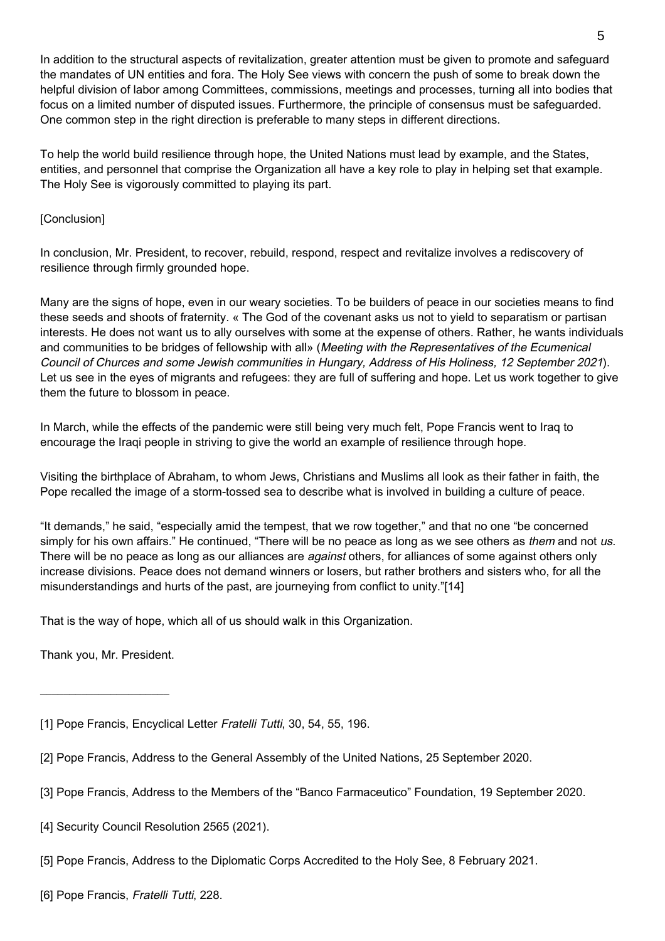In addition to the structural aspects of revitalization, greater attention must be given to promote and safeguard the mandates of UN entities and fora. The Holy See views with concern the push of some to break down the helpful division of labor among Committees, commissions, meetings and processes, turning all into bodies that focus on a limited number of disputed issues. Furthermore, the principle of consensus must be safeguarded. One common step in the right direction is preferable to many steps in different directions.

To help the world build resilience through hope, the United Nations must lead by example, and the States, entities, and personnel that comprise the Organization all have a key role to play in helping set that example. The Holy See is vigorously committed to playing its part.

### [Conclusion]

In conclusion, Mr. President, to recover, rebuild, respond, respect and revitalize involves a rediscovery of resilience through firmly grounded hope.

Many are the signs of hope, even in our weary societies. To be builders of peace in our societies means to find these seeds and shoots of fraternity. « The God of the covenant asks us not to yield to separatism or partisan interests. He does not want us to ally ourselves with some at the expense of others. Rather, he wants individuals and communities to be bridges of fellowship with all» (Meeting with the Representatives of the Ecumenical Council of Churces and some Jewish communities in Hungary, Address of His Holiness, 12 September 2021). Let us see in the eyes of migrants and refugees: they are full of suffering and hope. Let us work together to give them the future to blossom in peace.

In March, while the effects of the pandemic were still being very much felt, Pope Francis went to Iraq to encourage the Iraqi people in striving to give the world an example of resilience through hope.

Visiting the birthplace of Abraham, to whom Jews, Christians and Muslims all look as their father in faith, the Pope recalled the image of a storm-tossed sea to describe what is involved in building a culture of peace.

"It demands," he said, "especially amid the tempest, that we row together," and that no one "be concerned simply for his own affairs." He continued, "There will be no peace as long as we see others as them and not us. There will be no peace as long as our alliances are *against* others, for alliances of some against others only increase divisions. Peace does not demand winners or losers, but rather brothers and sisters who, for all the misunderstandings and hurts of the past, are journeying from conflict to unity."[14]

That is the way of hope, which all of us should walk in this Organization.

Thank you, Mr. President.

 $\frac{1}{2}$  ,  $\frac{1}{2}$  ,  $\frac{1}{2}$  ,  $\frac{1}{2}$  ,  $\frac{1}{2}$  ,  $\frac{1}{2}$  ,  $\frac{1}{2}$  ,  $\frac{1}{2}$  ,  $\frac{1}{2}$  ,  $\frac{1}{2}$  ,  $\frac{1}{2}$  ,  $\frac{1}{2}$  ,  $\frac{1}{2}$  ,  $\frac{1}{2}$  ,  $\frac{1}{2}$  ,  $\frac{1}{2}$  ,  $\frac{1}{2}$  ,  $\frac{1}{2}$  ,  $\frac{1$ 

[1] Pope Francis, Encyclical Letter Fratelli Tutti, 30, 54, 55, 196.

- [2] Pope Francis, Address to the General Assembly of the United Nations, 25 September 2020.
- [3] Pope Francis, Address to the Members of the "Banco Farmaceutico" Foundation, 19 September 2020.
- [4] Security Council Resolution 2565 (2021).
- [5] Pope Francis, Address to the Diplomatic Corps Accredited to the Holy See, 8 February 2021.